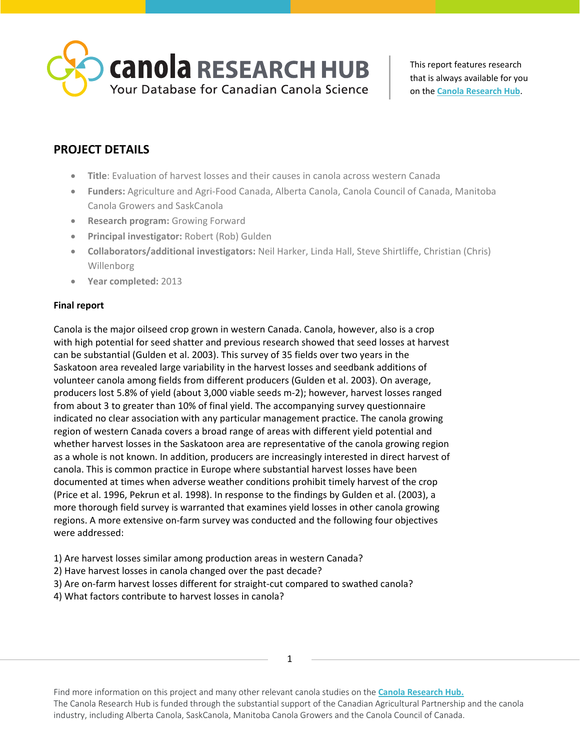

# **PROJECT DETAILS**

- **Title**: Evaluation of harvest losses and their causes in canola across western Canada
- **Funders:** Agriculture and Agri-Food Canada, Alberta Canola, Canola Council of Canada, Manitoba Canola Growers and SaskCanola
- **Research program:** Growing Forward
- **Principal investigator:** Robert (Rob) Gulden
- **Collaborators/additional investigators:** Neil Harker, Linda Hall, Steve Shirtliffe, Christian (Chris) Willenborg
- **Year completed:** 2013

## **Final report**

Canola is the major oilseed crop grown in western Canada. Canola, however, also is a crop with high potential for seed shatter and previous research showed that seed losses at harvest can be substantial (Gulden et al. 2003). This survey of 35 fields over two years in the Saskatoon area revealed large variability in the harvest losses and seedbank additions of volunteer canola among fields from different producers (Gulden et al. 2003). On average, producers lost 5.8% of yield (about 3,000 viable seeds m-2); however, harvest losses ranged from about 3 to greater than 10% of final yield. The accompanying survey questionnaire indicated no clear association with any particular management practice. The canola growing region of western Canada covers a broad range of areas with different yield potential and whether harvest losses in the Saskatoon area are representative of the canola growing region as a whole is not known. In addition, producers are increasingly interested in direct harvest of canola. This is common practice in Europe where substantial harvest losses have been documented at times when adverse weather conditions prohibit timely harvest of the crop (Price et al. 1996, Pekrun et al. 1998). In response to the findings by Gulden et al. (2003), a more thorough field survey is warranted that examines yield losses in other canola growing regions. A more extensive on-farm survey was conducted and the following four objectives were addressed:

- 1) Are harvest losses similar among production areas in western Canada?
- 2) Have harvest losses in canola changed over the past decade?
- 3) Are on-farm harvest losses different for straight-cut compared to swathed canola?
- 4) What factors contribute to harvest losses in canola?

Find more information on this project and many other relevant canola studies on the **[Canola Research Hub.](https://canolacouncil.org/research-hub)** The Canola Research Hub is funded through the substantial support of the Canadian Agricultural Partnership and the canola industry, including Alberta Canola, SaskCanola, Manitoba Canola Growers and the Canola Council of Canada.

1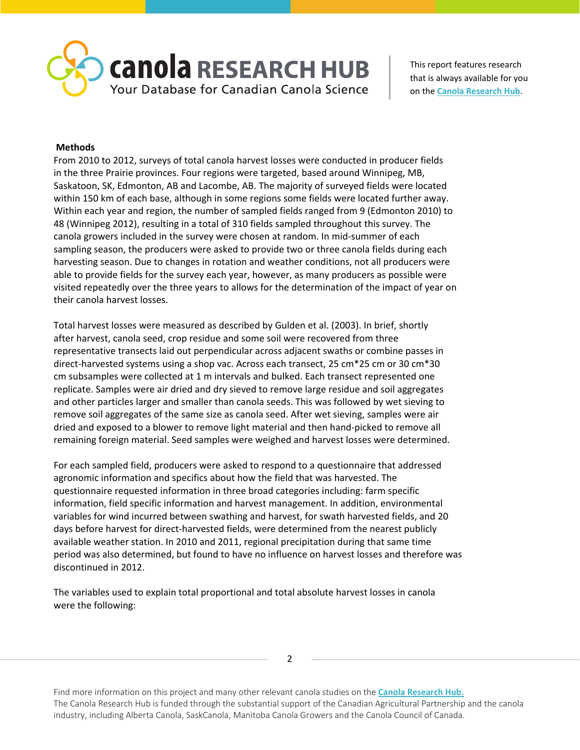

### **Methods**

From 2010 to 2012, surveys of total canola harvest losses were conducted in producer fields in the three Prairie provinces. Four regions were targeted, based around Winnipeg, MB, Saskatoon, SK, Edmonton, AB and Lacombe, AB. The majority of surveyed fields were located within 150 km of each base, although in some regions some fields were located further away. Within each year and region, the number of sampled fields ranged from 9 (Edmonton 2010) to 48 (Winnipeg 2012), resulting in a total of 310 fields sampled throughout this survey. The canola growers included in the survey were chosen at random. In mid-summer of each sampling season, the producers were asked to provide two or three canola fields during each harvesting season. Due to changes in rotation and weather conditions, not all producers were able to provide fields for the survey each year, however, as many producers as possible were visited repeatedly over the three years to allows for the determination of the impact of year on their canola harvest losses.

Total harvest losses were measured as described by Gulden et al. (2003). In brief, shortly after harvest, canola seed, crop residue and some soil were recovered from three representative transects laid out perpendicular across adjacent swaths or combine passes in direct-harvested systems using a shop vac. Across each transect, 25 cm\*25 cm or 30 cm\*30 cm subsamples were collected at 1 m intervals and bulked. Each transect represented one replicate. Samples were air dried and dry sieved to remove large residue and soil aggregates and other particles larger and smaller than canola seeds. This was followed by wet sieving to remove soil aggregates of the same size as canola seed. After wet sieving, samples were air dried and exposed to a blower to remove light material and then hand-picked to remove all remaining foreign material. Seed samples were weighed and harvest losses were determined.

For each sampled field, producers were asked to respond to a questionnaire that addressed agronomic information and specifics about how the field that was harvested. The questionnaire requested information in three broad categories including: farm specific information, field specific information and harvest management. In addition, environmental variables for wind incurred between swathing and harvest, for swath harvested fields, and 20 days before harvest for direct-harvested fields, were determined from the nearest publicly available weather station. In 2010 and 2011, regional precipitation during that same time period was also determined, but found to have no influence on harvest losses and therefore was discontinued in 2012.

The variables used to explain total proportional and total absolute harvest losses in canola were the following:

2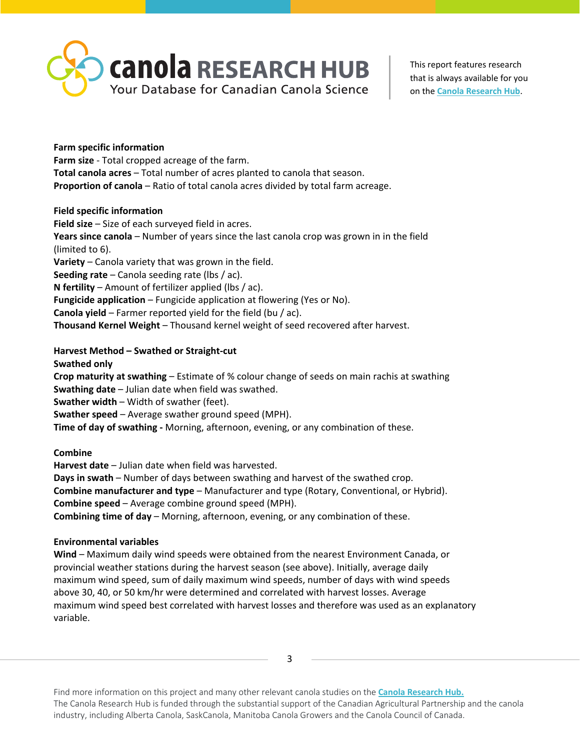

# **Farm specific information Farm size** - Total cropped acreage of the farm. **Total canola acres** – Total number of acres planted to canola that season.

**Proportion of canola** – Ratio of total canola acres divided by total farm acreage.

# **Field specific information**

**Field size** – Size of each surveyed field in acres. **Years since canola** – Number of years since the last canola crop was grown in in the field (limited to 6). **Variety** – Canola variety that was grown in the field. **Seeding rate** – Canola seeding rate (lbs / ac). **N fertility** – Amount of fertilizer applied (lbs / ac). **Fungicide application** – Fungicide application at flowering (Yes or No). **Canola yield** – Farmer reported yield for the field (bu / ac). **Thousand Kernel Weight** – Thousand kernel weight of seed recovered after harvest.

**Harvest Method – Swathed or Straight-cut**

**Swathed only**

**Crop maturity at swathing** – Estimate of % colour change of seeds on main rachis at swathing **Swathing date** – Julian date when field was swathed. **Swather width** – Width of swather (feet). **Swather speed** – Average swather ground speed (MPH).

**Time of day of swathing -** Morning, afternoon, evening, or any combination of these.

**Combine**

**Harvest date** – Julian date when field was harvested.

**Days in swath** – Number of days between swathing and harvest of the swathed crop.

**Combine manufacturer and type** – Manufacturer and type (Rotary, Conventional, or Hybrid). **Combine speed** – Average combine ground speed (MPH).

**Combining time of day** – Morning, afternoon, evening, or any combination of these.

# **Environmental variables**

**Wind** – Maximum daily wind speeds were obtained from the nearest Environment Canada, or provincial weather stations during the harvest season (see above). Initially, average daily maximum wind speed, sum of daily maximum wind speeds, number of days with wind speeds above 30, 40, or 50 km/hr were determined and correlated with harvest losses. Average maximum wind speed best correlated with harvest losses and therefore was used as an explanatory variable.

3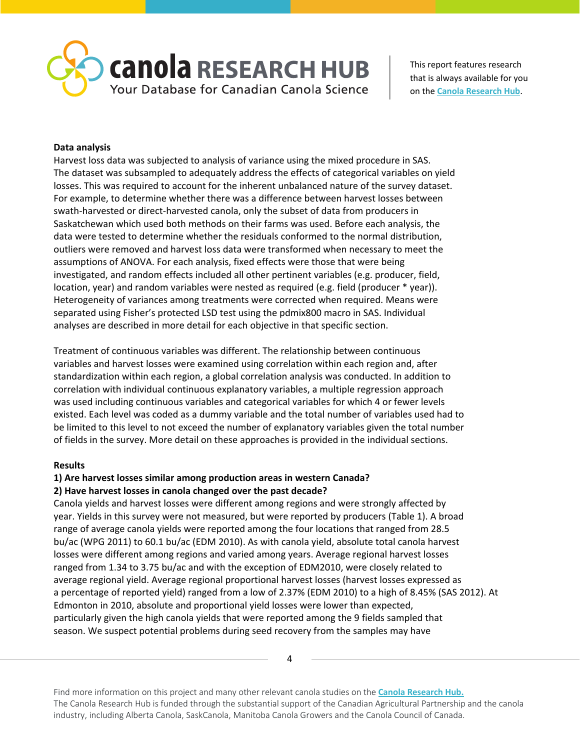

### **Data analysis**

Harvest loss data was subjected to analysis of variance using the mixed procedure in SAS. The dataset was subsampled to adequately address the effects of categorical variables on yield losses. This was required to account for the inherent unbalanced nature of the survey dataset. For example, to determine whether there was a difference between harvest losses between swath-harvested or direct-harvested canola, only the subset of data from producers in Saskatchewan which used both methods on their farms was used. Before each analysis, the data were tested to determine whether the residuals conformed to the normal distribution, outliers were removed and harvest loss data were transformed when necessary to meet the assumptions of ANOVA. For each analysis, fixed effects were those that were being investigated, and random effects included all other pertinent variables (e.g. producer, field, location, year) and random variables were nested as required (e.g. field (producer \* year)). Heterogeneity of variances among treatments were corrected when required. Means were separated using Fisher's protected LSD test using the pdmix800 macro in SAS. Individual analyses are described in more detail for each objective in that specific section.

Treatment of continuous variables was different. The relationship between continuous variables and harvest losses were examined using correlation within each region and, after standardization within each region, a global correlation analysis was conducted. In addition to correlation with individual continuous explanatory variables, a multiple regression approach was used including continuous variables and categorical variables for which 4 or fewer levels existed. Each level was coded as a dummy variable and the total number of variables used had to be limited to this level to not exceed the number of explanatory variables given the total number of fields in the survey. More detail on these approaches is provided in the individual sections.

### **Results**

# **1) Are harvest losses similar among production areas in western Canada?**

### **2) Have harvest losses in canola changed over the past decade?**

Canola yields and harvest losses were different among regions and were strongly affected by year. Yields in this survey were not measured, but were reported by producers (Table 1). A broad range of average canola yields were reported among the four locations that ranged from 28.5 bu/ac (WPG 2011) to 60.1 bu/ac (EDM 2010). As with canola yield, absolute total canola harvest losses were different among regions and varied among years. Average regional harvest losses ranged from 1.34 to 3.75 bu/ac and with the exception of EDM2010, were closely related to average regional yield. Average regional proportional harvest losses (harvest losses expressed as a percentage of reported yield) ranged from a low of 2.37% (EDM 2010) to a high of 8.45% (SAS 2012). At Edmonton in 2010, absolute and proportional yield losses were lower than expected, particularly given the high canola yields that were reported among the 9 fields sampled that season. We suspect potential problems during seed recovery from the samples may have

4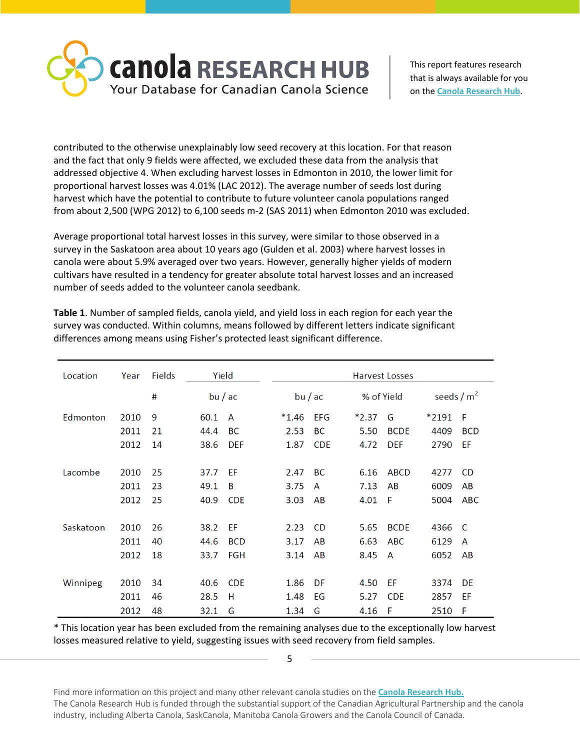

contributed to the otherwise unexplainably low seed recovery at this location. For that reason and the fact that only 9 fields were affected, we excluded these data from the analysis that addressed objective 4. When excluding harvest losses in Edmonton in 2010, the lower limit for proportional harvest losses was 4.01% (LAC 2012). The average number of seeds lost during harvest which have the potential to contribute to future volunteer canola populations ranged from about 2,500 (WPG 2012) to 6,100 seeds m-2 (SAS 2011) when Edmonton 2010 was excluded.

Average proportional total harvest losses in this survey, were similar to those observed in a survey in the Saskatoon area about 10 years ago (Gulden et al. 2003) where harvest losses in canola were about 5.9% averaged over two years. However, generally higher yields of modern cultivars have resulted in a tendency for greater absolute total harvest losses and an increased number of seeds added to the volunteer canola seedbank.

| Location  | Year | <b>Fields</b> | Yield |            | <b>Harvest Losses</b> |            |  |         |             |              |            |
|-----------|------|---------------|-------|------------|-----------------------|------------|--|---------|-------------|--------------|------------|
|           |      | #             |       | bu/ac      |                       | bu/ac      |  |         | % of Yield  | seeds / $m2$ |            |
| Edmonton  | 2010 | 9             | 60.1  | A          | $*1.46$               | <b>EFG</b> |  | $*2.37$ | G           | *2191        | F          |
|           | 2011 | 21            | 44.4  | BC         | 2.53                  | <b>BC</b>  |  | 5.50    | <b>BCDE</b> | 4409         | <b>BCD</b> |
|           | 2012 | 14            | 38.6  | <b>DEF</b> | 1.87                  | <b>CDE</b> |  | 4.72    | <b>DEF</b>  | 2790         | EF         |
|           |      |               |       |            |                       |            |  |         |             |              |            |
| Lacombe   | 2010 | 25            | 37.7  | EF         | 2.47                  | <b>BC</b>  |  | 6.16    | <b>ABCD</b> | 4277         | <b>CD</b>  |
|           | 2011 | 23            | 49.1  | B          | 3.75                  | A          |  | 7.13    | AB          | 6009         | AB         |
|           | 2012 | 25            | 40.9  | <b>CDE</b> | 3.03                  | AB         |  | 4.01    | F           | 5004         | <b>ABC</b> |
|           |      |               |       |            |                       |            |  |         |             |              |            |
| Saskatoon | 2010 | 26            | 38.2  | EF         | 2.23                  | <b>CD</b>  |  | 5.65    | <b>BCDE</b> | 4366         | C          |
|           | 2011 | 40            | 44.6  | <b>BCD</b> | 3.17                  | AB         |  | 6.63    | <b>ABC</b>  | 6129         | A          |
|           | 2012 | 18            | 33.7  | <b>FGH</b> | 3.14                  | AB         |  | 8.45    | A           | 6052         | AB         |
|           |      |               |       |            |                       |            |  |         |             |              |            |
| Winnipeg  | 2010 | 34            | 40.6  | <b>CDE</b> | 1.86                  | DF         |  | 4.50    | EF          | 3374         | DE         |
|           | 2011 | 46            | 28.5  | н          | 1.48                  | EG         |  | 5.27    | <b>CDE</b>  | 2857         | EF         |
|           | 2012 | 48            | 32.1  | G          | 1.34                  | G          |  | 4.16    | F           | 2510         | F          |

**Table 1**. Number of sampled fields, canola yield, and yield loss in each region for each year the survey was conducted. Within columns, means followed by different letters indicate significant differences among means using Fisher's protected least significant difference.

\* This location year has been excluded from the remaining analyses due to the exceptionally low harvest losses measured relative to yield, suggesting issues with seed recovery from field samples.

5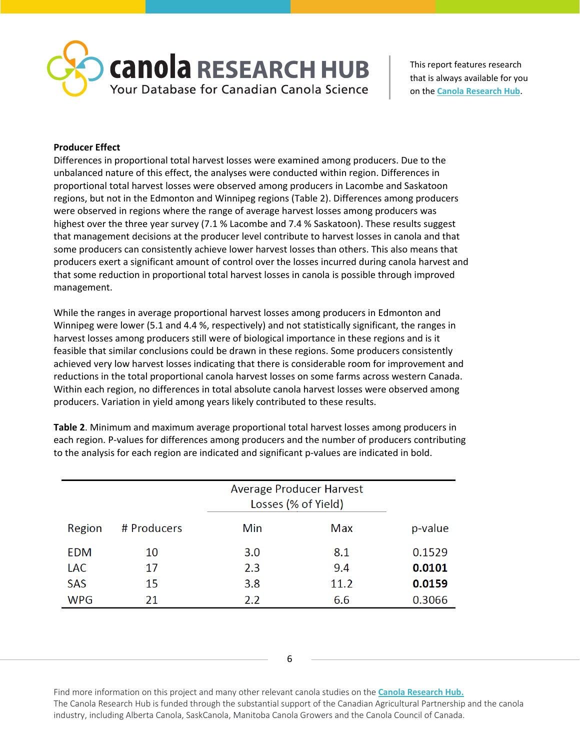

### **Producer Effect**

Differences in proportional total harvest losses were examined among producers. Due to the unbalanced nature of this effect, the analyses were conducted within region. Differences in proportional total harvest losses were observed among producers in Lacombe and Saskatoon regions, but not in the Edmonton and Winnipeg regions (Table 2). Differences among producers were observed in regions where the range of average harvest losses among producers was highest over the three year survey (7.1 % Lacombe and 7.4 % Saskatoon). These results suggest that management decisions at the producer level contribute to harvest losses in canola and that some producers can consistently achieve lower harvest losses than others. This also means that producers exert a significant amount of control over the losses incurred during canola harvest and that some reduction in proportional total harvest losses in canola is possible through improved management.

While the ranges in average proportional harvest losses among producers in Edmonton and Winnipeg were lower (5.1 and 4.4 %, respectively) and not statistically significant, the ranges in harvest losses among producers still were of biological importance in these regions and is it feasible that similar conclusions could be drawn in these regions. Some producers consistently achieved very low harvest losses indicating that there is considerable room for improvement and reductions in the total proportional canola harvest losses on some farms across western Canada. Within each region, no differences in total absolute canola harvest losses were observed among producers. Variation in yield among years likely contributed to these results.

**Table 2**. Minimum and maximum average proportional total harvest losses among producers in each region. P-values for differences among producers and the number of producers contributing to the analysis for each region are indicated and significant p-values are indicated in bold.

|            |             | Average Producer Harvest<br>Losses (% of Yield) |      |         |
|------------|-------------|-------------------------------------------------|------|---------|
| Region     | # Producers | Min                                             | Max  | p-value |
| EDM        | 10          | 3.0                                             | 8.1  | 0.1529  |
| <b>LAC</b> | 17          | 2.3                                             | 9.4  | 0.0101  |
| <b>SAS</b> | 15          | 3.8                                             | 11.2 | 0.0159  |
| <b>WPG</b> | 21          | 2.2                                             | 6.6  | 0.3066  |

6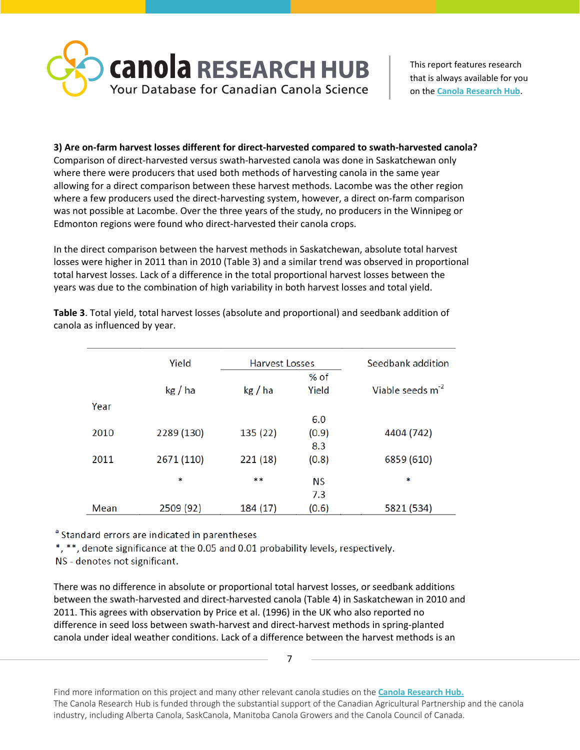

# **3) Are on-farm harvest losses different for direct-harvested compared to swath-harvested canola?**

Comparison of direct-harvested versus swath-harvested canola was done in Saskatchewan only where there were producers that used both methods of harvesting canola in the same year allowing for a direct comparison between these harvest methods. Lacombe was the other region where a few producers used the direct-harvesting system, however, a direct on-farm comparison was not possible at Lacombe. Over the three years of the study, no producers in the Winnipeg or Edmonton regions were found who direct-harvested their canola crops.

In the direct comparison between the harvest methods in Saskatchewan, absolute total harvest losses were higher in 2011 than in 2010 (Table 3) and a similar trend was observed in proportional total harvest losses. Lack of a difference in the total proportional harvest losses between the years was due to the combination of high variability in both harvest losses and total yield.

|      | Yield      | <b>Harvest Losses</b> |           | Seedbank addition            |
|------|------------|-----------------------|-----------|------------------------------|
|      |            |                       | % of      |                              |
|      | kg/ha      | kg / ha               | Yield     | Viable seeds m <sup>-2</sup> |
| Year |            |                       |           |                              |
|      |            |                       | 6.0       |                              |
| 2010 | 2289 (130) | 135 (22)              | (0.9)     | 4404 (742)                   |
|      |            |                       | 8.3       |                              |
| 2011 | 2671 (110) | 221 (18)              | (0.8)     | 6859 (610)                   |
|      | ∗          | **                    |           | ∗                            |
|      |            |                       | <b>NS</b> |                              |
|      |            |                       | 7.3       |                              |
| Mean | 2509 (92)  | 184 (17)              | (0.6)     | 5821 (534)                   |

**Table 3**. Total yield, total harvest losses (absolute and proportional) and seedbank addition of canola as influenced by year.

<sup>a</sup> Standard errors are indicated in parentheses

\*, \*\*, denote significance at the 0.05 and 0.01 probability levels, respectively.

NS - denotes not significant.

There was no difference in absolute or proportional total harvest losses, or seedbank additions between the swath-harvested and direct-harvested canola (Table 4) in Saskatchewan in 2010 and 2011. This agrees with observation by Price et al. (1996) in the UK who also reported no difference in seed loss between swath-harvest and direct-harvest methods in spring-planted canola under ideal weather conditions. Lack of a difference between the harvest methods is an

7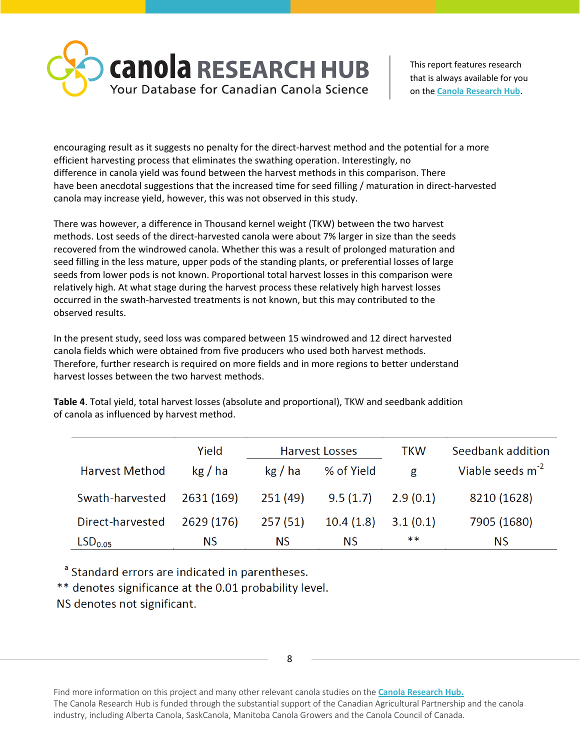

encouraging result as it suggests no penalty for the direct-harvest method and the potential for a more efficient harvesting process that eliminates the swathing operation. Interestingly, no difference in canola yield was found between the harvest methods in this comparison. There have been anecdotal suggestions that the increased time for seed filling / maturation in direct-harvested canola may increase yield, however, this was not observed in this study.

There was however, a difference in Thousand kernel weight (TKW) between the two harvest methods. Lost seeds of the direct-harvested canola were about 7% larger in size than the seeds recovered from the windrowed canola. Whether this was a result of prolonged maturation and seed filling in the less mature, upper pods of the standing plants, or preferential losses of large seeds from lower pods is not known. Proportional total harvest losses in this comparison were relatively high. At what stage during the harvest process these relatively high harvest losses occurred in the swath-harvested treatments is not known, but this may contributed to the observed results.

In the present study, seed loss was compared between 15 windrowed and 12 direct harvested canola fields which were obtained from five producers who used both harvest methods. Therefore, further research is required on more fields and in more regions to better understand harvest losses between the two harvest methods.

**Table 4**. Total yield, total harvest losses (absolute and proportional), TKW and seedbank addition of canola as influenced by harvest method.

|                       | Yield      |         | <b>Harvest Losses</b> | <b>TKW</b> | Seedbank addition     |
|-----------------------|------------|---------|-----------------------|------------|-----------------------|
| <b>Harvest Method</b> | kg/ha      | kg/ha   | % of Yield            | g          | Viable seeds $m^{-2}$ |
| Swath-harvested       | 2631 (169) | 251(49) | 9.5(1.7)              | 2.9(0.1)   | 8210 (1628)           |
| Direct-harvested      | 2629 (176) | 257(51) | 10.4(1.8)             | 3.1(0.1)   | 7905 (1680)           |
| LSD <sub>0.05</sub>   | ΝS         | ΝS      | <b>NS</b>             | **         | ΝS                    |

<sup>a</sup> Standard errors are indicated in parentheses.

\*\* denotes significance at the 0.01 probability level.

NS denotes not significant.

8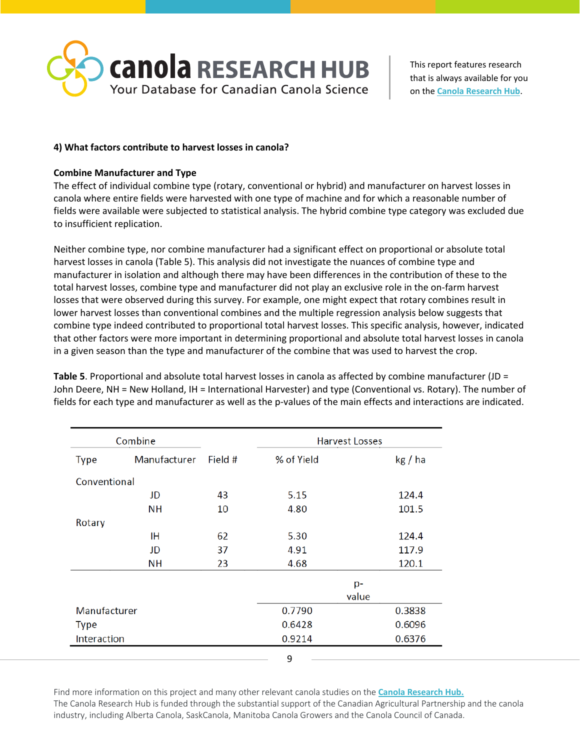

### **4) What factors contribute to harvest losses in canola?**

### **Combine Manufacturer and Type**

The effect of individual combine type (rotary, conventional or hybrid) and manufacturer on harvest losses in canola where entire fields were harvested with one type of machine and for which a reasonable number of fields were available were subjected to statistical analysis. The hybrid combine type category was excluded due to insufficient replication.

Neither combine type, nor combine manufacturer had a significant effect on proportional or absolute total harvest losses in canola (Table 5). This analysis did not investigate the nuances of combine type and manufacturer in isolation and although there may have been differences in the contribution of these to the total harvest losses, combine type and manufacturer did not play an exclusive role in the on-farm harvest losses that were observed during this survey. For example, one might expect that rotary combines result in lower harvest losses than conventional combines and the multiple regression analysis below suggests that combine type indeed contributed to proportional total harvest losses. This specific analysis, however, indicated that other factors were more important in determining proportional and absolute total harvest losses in canola in a given season than the type and manufacturer of the combine that was used to harvest the crop.

**Table 5**. Proportional and absolute total harvest losses in canola as affected by combine manufacturer (JD = John Deere, NH = New Holland, IH = International Harvester) and type (Conventional vs. Rotary). The number of fields for each type and manufacturer as well as the p-values of the main effects and interactions are indicated.

|              | Combine      |         | <b>Harvest Losses</b> |         |
|--------------|--------------|---------|-----------------------|---------|
| <b>Type</b>  | Manufacturer | Field # | % of Yield            | kg / ha |
| Conventional |              |         |                       |         |
|              | JD           | 43      | 5.15                  | 124.4   |
|              | NН           | 10      | 4.80                  | 101.5   |
| Rotary       |              |         |                       |         |
|              | ΙH           | 62      | 5.30                  | 124.4   |
|              | JD           | 37      | 4.91                  | 117.9   |
|              | <b>NH</b>    | 23      | 4.68                  | 120.1   |
|              |              |         |                       | p-      |
|              |              |         |                       | value   |
| Manufacturer |              |         | 0.7790                | 0.3838  |
| <b>Type</b>  |              |         | 0.6428                | 0.6096  |
| Interaction  |              |         | 0.9214                | 0.6376  |
|              |              |         | 9                     |         |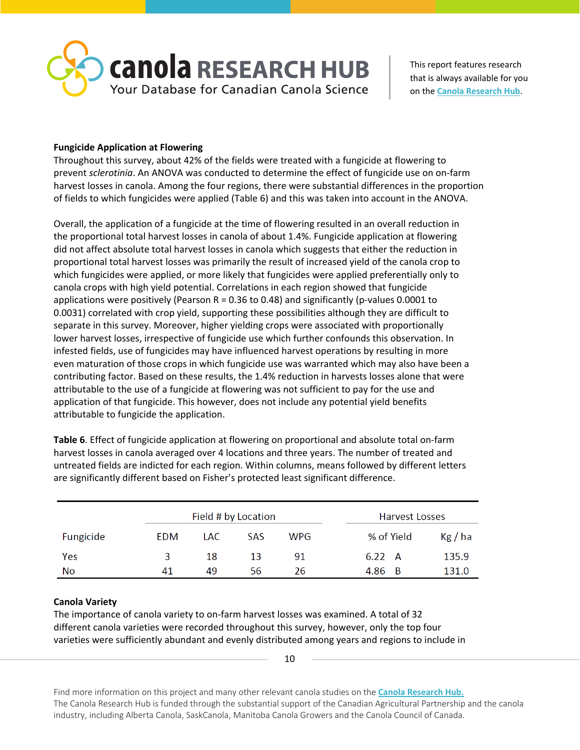

# **Fungicide Application at Flowering**

Throughout this survey, about 42% of the fields were treated with a fungicide at flowering to prevent *sclerotinia*. An ANOVA was conducted to determine the effect of fungicide use on on-farm harvest losses in canola. Among the four regions, there were substantial differences in the proportion of fields to which fungicides were applied (Table 6) and this was taken into account in the ANOVA.

Overall, the application of a fungicide at the time of flowering resulted in an overall reduction in the proportional total harvest losses in canola of about 1.4%. Fungicide application at flowering did not affect absolute total harvest losses in canola which suggests that either the reduction in proportional total harvest losses was primarily the result of increased yield of the canola crop to which fungicides were applied, or more likely that fungicides were applied preferentially only to canola crops with high yield potential. Correlations in each region showed that fungicide applications were positively (Pearson  $R = 0.36$  to 0.48) and significantly (p-values 0.0001 to 0.0031) correlated with crop yield, supporting these possibilities although they are difficult to separate in this survey. Moreover, higher yielding crops were associated with proportionally lower harvest losses, irrespective of fungicide use which further confounds this observation. In infested fields, use of fungicides may have influenced harvest operations by resulting in more even maturation of those crops in which fungicide use was warranted which may also have been a contributing factor. Based on these results, the 1.4% reduction in harvests losses alone that were attributable to the use of a fungicide at flowering was not sufficient to pay for the use and application of that fungicide. This however, does not include any potential yield benefits attributable to fungicide the application.

**Table 6**. Effect of fungicide application at flowering on proportional and absolute total on-farm harvest losses in canola averaged over 4 locations and three years. The number of treated and untreated fields are indicted for each region. Within columns, means followed by different letters are significantly different based on Fisher's protected least significant difference.

|           |     | Field # by Location |     | Harvest Losses |                      |
|-----------|-----|---------------------|-----|----------------|----------------------|
| Fungicide | EDM | LAC.                | SAS | <b>WPG</b>     | % of Yield<br>Kg/ha  |
| Yes       | ર   | 18                  | 13  | 91             | 135.9<br>$6.22 \, A$ |
| No        | 41  | 49                  | 56  | 26             | 131.0<br>4.86<br>- B |

# **Canola Variety**

The importance of canola variety to on-farm harvest losses was examined. A total of 32 different canola varieties were recorded throughout this survey, however, only the top four varieties were sufficiently abundant and evenly distributed among years and regions to include in

10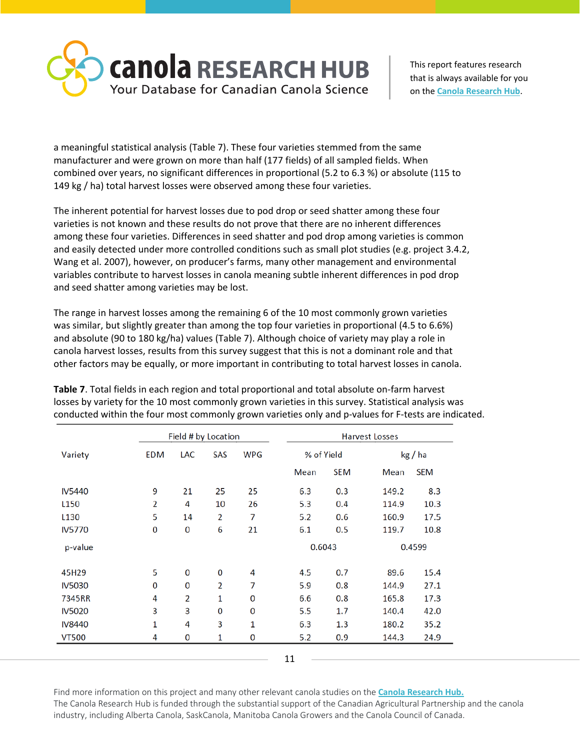

a meaningful statistical analysis (Table 7). These four varieties stemmed from the same manufacturer and were grown on more than half (177 fields) of all sampled fields. When combined over years, no significant differences in proportional (5.2 to 6.3 %) or absolute (115 to 149 kg / ha) total harvest losses were observed among these four varieties.

The inherent potential for harvest losses due to pod drop or seed shatter among these four varieties is not known and these results do not prove that there are no inherent differences among these four varieties. Differences in seed shatter and pod drop among varieties is common and easily detected under more controlled conditions such as small plot studies (e.g. project 3.4.2, Wang et al. 2007), however, on producer's farms, many other management and environmental variables contribute to harvest losses in canola meaning subtle inherent differences in pod drop and seed shatter among varieties may be lost.

The range in harvest losses among the remaining 6 of the 10 most commonly grown varieties was similar, but slightly greater than among the top four varieties in proportional (4.5 to 6.6%) and absolute (90 to 180 kg/ha) values (Table 7). Although choice of variety may play a role in canola harvest losses, results from this survey suggest that this is not a dominant role and that other factors may be equally, or more important in contributing to total harvest losses in canola.

|               |     | Field # by Location |     |            | Harvest Losses |            |        |            |
|---------------|-----|---------------------|-----|------------|----------------|------------|--------|------------|
| Variety       | EDM | LAC                 | SAS | <b>WPG</b> |                | % of Yield |        | kg / ha    |
|               |     |                     |     |            | Mean           | <b>SEM</b> | Mean   | <b>SEM</b> |
| <b>IV5440</b> | 9   | 21                  | 25  | 25         | 6.3            | 0.3        | 149.2  | 8.3        |
| L150          | 2   | 4                   | 10  | 26         | 5.3            | 0.4        | 114.9  | 10.3       |
| L130          | 5   | 14                  | 2   | 7          | 5.2            | 0.6        | 160.9  | 17.5       |
| <b>IV5770</b> | 0   | 0                   | 6   | 21         | 6.1            | 0.5        | 119.7  | 10.8       |
| p-value       |     |                     |     |            | 0.6043         |            | 0.4599 |            |
| 45H29         | 5   | $\bf{0}$            | 0   | 4          | 4.5            | 0.7        | 89.6   | 15.4       |
| <b>IV5030</b> | 0   | 0                   | 2   | 7          | 5.9            | 0.8        | 144.9  | 27.1       |
| 7345RR        | 4   | 2                   | 1   | 0          | 6.6            | 0.8        | 165.8  | 17.3       |
| <b>IV5020</b> | 3   | 3                   | 0   | 0          | 5.5            | 1.7        | 140.4  | 42.0       |
| <b>IV8440</b> | 1   | 4                   | 3   | 1          | 6.3            | 1.3        | 180.2  | 35.2       |
| <b>VT500</b>  | 4   | 0                   | 1   | 0          | 5.2            | 0.9        | 144.3  | 24.9       |

**Table 7**. Total fields in each region and total proportional and total absolute on-farm harvest losses by variety for the 10 most commonly grown varieties in this survey. Statistical analysis was conducted within the four most commonly grown varieties only and p-values for F-tests are indicated.

<sup>11</sup>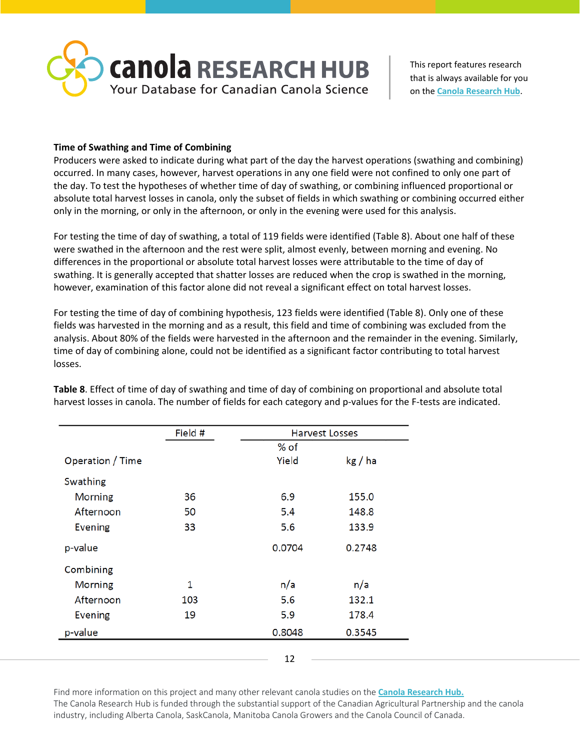

## **Time of Swathing and Time of Combining**

Producers were asked to indicate during what part of the day the harvest operations (swathing and combining) occurred. In many cases, however, harvest operations in any one field were not confined to only one part of the day. To test the hypotheses of whether time of day of swathing, or combining influenced proportional or absolute total harvest losses in canola, only the subset of fields in which swathing or combining occurred either only in the morning, or only in the afternoon, or only in the evening were used for this analysis.

For testing the time of day of swathing, a total of 119 fields were identified (Table 8). About one half of these were swathed in the afternoon and the rest were split, almost evenly, between morning and evening. No differences in the proportional or absolute total harvest losses were attributable to the time of day of swathing. It is generally accepted that shatter losses are reduced when the crop is swathed in the morning, however, examination of this factor alone did not reveal a significant effect on total harvest losses.

For testing the time of day of combining hypothesis, 123 fields were identified (Table 8). Only one of these fields was harvested in the morning and as a result, this field and time of combining was excluded from the analysis. About 80% of the fields were harvested in the afternoon and the remainder in the evening. Similarly, time of day of combining alone, could not be identified as a significant factor contributing to total harvest losses.

|                  | Field # |        | <b>Harvest Losses</b> |
|------------------|---------|--------|-----------------------|
|                  |         | % of   |                       |
| Operation / Time |         | Yield  | kg/ha                 |
| Swathing         |         |        |                       |
| Morning          | 36      | 6.9    | 155.0                 |
| Afternoon        | 50      | 5.4    | 148.8                 |
| <b>Evening</b>   | 33      | 5.6    | 133.9                 |
| p-value          |         | 0.0704 | 0.2748                |
| Combining        |         |        |                       |
| Morning          | 1       | n/a    | n/a                   |
| Afternoon        | 103     | 5.6    | 132.1                 |
| <b>Evening</b>   | 19      | 5.9    | 178.4                 |
| p-value          |         | 0.8048 | 0.3545                |
|                  |         |        |                       |
|                  |         | 12     |                       |

**Table 8**. Effect of time of day of swathing and time of day of combining on proportional and absolute total harvest losses in canola. The number of fields for each category and p-values for the F-tests are indicated.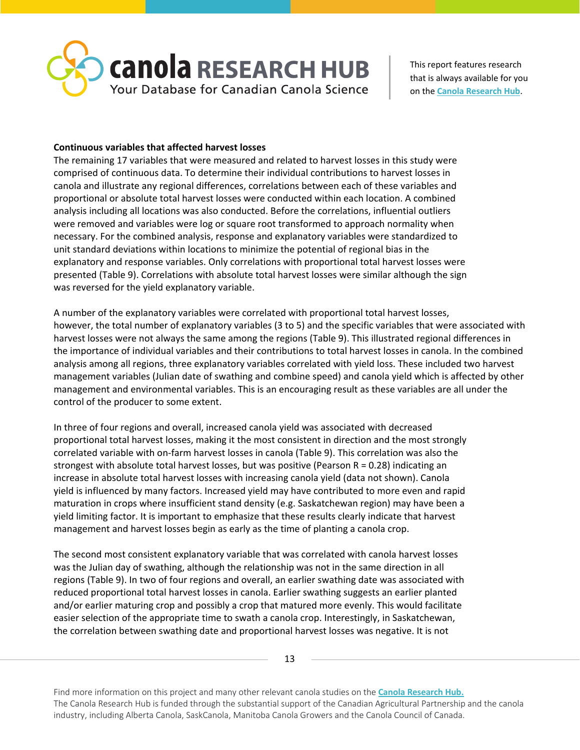

### **Continuous variables that affected harvest losses**

The remaining 17 variables that were measured and related to harvest losses in this study were comprised of continuous data. To determine their individual contributions to harvest losses in canola and illustrate any regional differences, correlations between each of these variables and proportional or absolute total harvest losses were conducted within each location. A combined analysis including all locations was also conducted. Before the correlations, influential outliers were removed and variables were log or square root transformed to approach normality when necessary. For the combined analysis, response and explanatory variables were standardized to unit standard deviations within locations to minimize the potential of regional bias in the explanatory and response variables. Only correlations with proportional total harvest losses were presented (Table 9). Correlations with absolute total harvest losses were similar although the sign was reversed for the yield explanatory variable.

A number of the explanatory variables were correlated with proportional total harvest losses, however, the total number of explanatory variables (3 to 5) and the specific variables that were associated with harvest losses were not always the same among the regions (Table 9). This illustrated regional differences in the importance of individual variables and their contributions to total harvest losses in canola. In the combined analysis among all regions, three explanatory variables correlated with yield loss. These included two harvest management variables (Julian date of swathing and combine speed) and canola yield which is affected by other management and environmental variables. This is an encouraging result as these variables are all under the control of the producer to some extent.

In three of four regions and overall, increased canola yield was associated with decreased proportional total harvest losses, making it the most consistent in direction and the most strongly correlated variable with on-farm harvest losses in canola (Table 9). This correlation was also the strongest with absolute total harvest losses, but was positive (Pearson R = 0.28) indicating an increase in absolute total harvest losses with increasing canola yield (data not shown). Canola yield is influenced by many factors. Increased yield may have contributed to more even and rapid maturation in crops where insufficient stand density (e.g. Saskatchewan region) may have been a yield limiting factor. It is important to emphasize that these results clearly indicate that harvest management and harvest losses begin as early as the time of planting a canola crop.

The second most consistent explanatory variable that was correlated with canola harvest losses was the Julian day of swathing, although the relationship was not in the same direction in all regions (Table 9). In two of four regions and overall, an earlier swathing date was associated with reduced proportional total harvest losses in canola. Earlier swathing suggests an earlier planted and/or earlier maturing crop and possibly a crop that matured more evenly. This would facilitate easier selection of the appropriate time to swath a canola crop. Interestingly, in Saskatchewan, the correlation between swathing date and proportional harvest losses was negative. It is not

13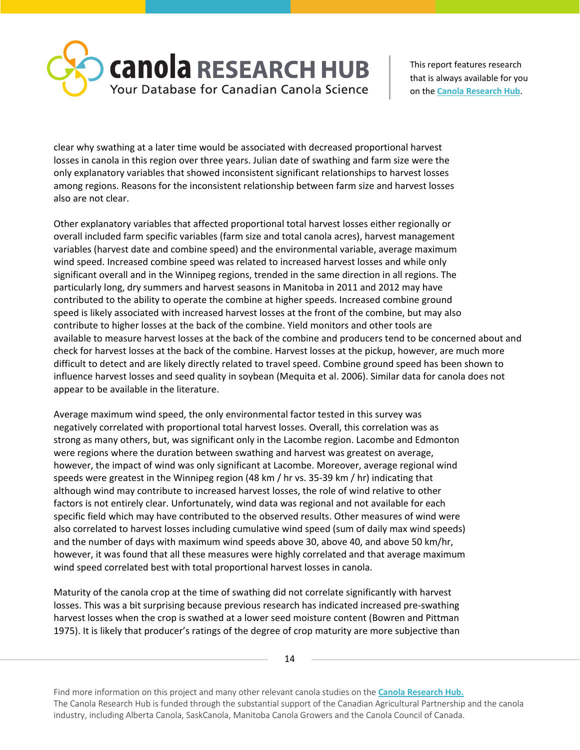

clear why swathing at a later time would be associated with decreased proportional harvest losses in canola in this region over three years. Julian date of swathing and farm size were the only explanatory variables that showed inconsistent significant relationships to harvest losses among regions. Reasons for the inconsistent relationship between farm size and harvest losses also are not clear.

Other explanatory variables that affected proportional total harvest losses either regionally or overall included farm specific variables (farm size and total canola acres), harvest management variables (harvest date and combine speed) and the environmental variable, average maximum wind speed. Increased combine speed was related to increased harvest losses and while only significant overall and in the Winnipeg regions, trended in the same direction in all regions. The particularly long, dry summers and harvest seasons in Manitoba in 2011 and 2012 may have contributed to the ability to operate the combine at higher speeds. Increased combine ground speed is likely associated with increased harvest losses at the front of the combine, but may also contribute to higher losses at the back of the combine. Yield monitors and other tools are available to measure harvest losses at the back of the combine and producers tend to be concerned about and check for harvest losses at the back of the combine. Harvest losses at the pickup, however, are much more difficult to detect and are likely directly related to travel speed. Combine ground speed has been shown to influence harvest losses and seed quality in soybean (Mequita et al. 2006). Similar data for canola does not appear to be available in the literature.

Average maximum wind speed, the only environmental factor tested in this survey was negatively correlated with proportional total harvest losses. Overall, this correlation was as strong as many others, but, was significant only in the Lacombe region. Lacombe and Edmonton were regions where the duration between swathing and harvest was greatest on average, however, the impact of wind was only significant at Lacombe. Moreover, average regional wind speeds were greatest in the Winnipeg region (48 km / hr vs. 35-39 km / hr) indicating that although wind may contribute to increased harvest losses, the role of wind relative to other factors is not entirely clear. Unfortunately, wind data was regional and not available for each specific field which may have contributed to the observed results. Other measures of wind were also correlated to harvest losses including cumulative wind speed (sum of daily max wind speeds) and the number of days with maximum wind speeds above 30, above 40, and above 50 km/hr, however, it was found that all these measures were highly correlated and that average maximum wind speed correlated best with total proportional harvest losses in canola.

Maturity of the canola crop at the time of swathing did not correlate significantly with harvest losses. This was a bit surprising because previous research has indicated increased pre-swathing harvest losses when the crop is swathed at a lower seed moisture content (Bowren and Pittman 1975). It is likely that producer's ratings of the degree of crop maturity are more subjective than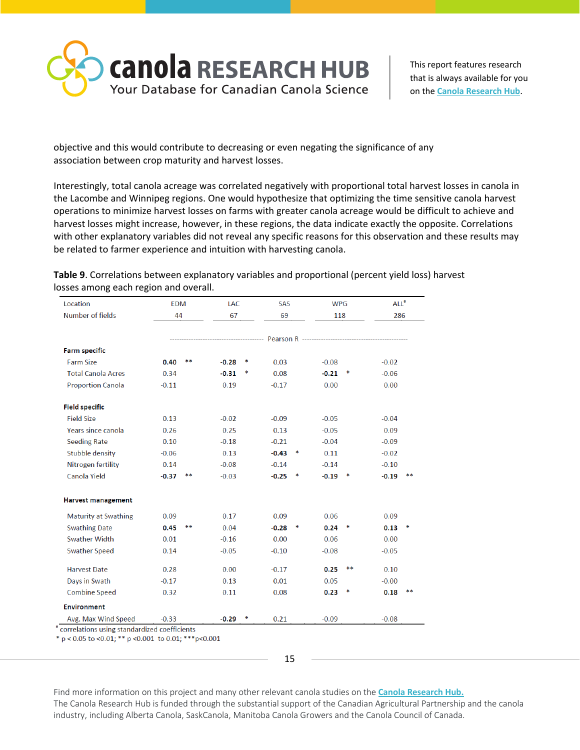

objective and this would contribute to decreasing or even negating the significance of any association between crop maturity and harvest losses.

Interestingly, total canola acreage was correlated negatively with proportional total harvest losses in canola in the Lacombe and Winnipeg regions. One would hypothesize that optimizing the time sensitive canola harvest operations to minimize harvest losses on farms with greater canola acreage would be difficult to achieve and harvest losses might increase, however, in these regions, the data indicate exactly the opposite. Correlations with other explanatory variables did not reveal any specific reasons for this observation and these results may be related to farmer experience and intuition with harvesting canola.

| Location                    | <b>EDM</b> |    | LAC     |          | <b>SAS</b> |   | <b>WPG</b> |    | ALL <sup>a</sup> |    |
|-----------------------------|------------|----|---------|----------|------------|---|------------|----|------------------|----|
| Number of fields            |            | 44 |         | 67<br>69 |            |   | 118        |    | 286              |    |
|                             |            |    |         |          |            |   |            |    |                  |    |
| <b>Farm specific</b>        |            |    |         |          |            |   |            |    |                  |    |
| <b>Farm Size</b>            | 0.40       | ** | $-0.28$ | ∗        | 0.03       |   | $-0.08$    |    | $-0.02$          |    |
| <b>Total Canola Acres</b>   | 0.34       |    | $-0.31$ | ∗        | 0.08       |   | $-0.21$    | ∗  | $-0.06$          |    |
| <b>Proportion Canola</b>    | $-0.11$    |    | 0.19    |          | $-0.17$    |   | 0.00       |    | 0.00             |    |
| <b>Field specific</b>       |            |    |         |          |            |   |            |    |                  |    |
| <b>Field Size</b>           | 0.13       |    | $-0.02$ |          | $-0.09$    |   | $-0.05$    |    | $-0.04$          |    |
| Years since canola          | 0.26       |    | 0.25    |          | 0.13       |   | $-0.05$    |    | 0.09             |    |
| <b>Seeding Rate</b>         | 0.10       |    | $-0.18$ |          | $-0.21$    |   | $-0.04$    |    | $-0.09$          |    |
| Stubble density             | $-0.06$    |    | 0.13    |          | $-0.43$    | ∗ | 0.11       |    | $-0.02$          |    |
| Nitrogen fertility          | 0.14       |    | $-0.08$ |          | $-0.14$    |   | $-0.14$    |    | $-0.10$          |    |
| Canola Yield                | $-0.37$    |    | $-0.03$ |          | $-0.25$    | * | $-0.19$    |    | $-0.19$          |    |
| <b>Harvest management</b>   |            |    |         |          |            |   |            |    |                  |    |
| <b>Maturity at Swathing</b> | 0.09       |    | 0.17    |          | 0.09       |   | 0.06       |    | 0.09             |    |
| <b>Swathing Date</b>        | 0.45       | ** | 0.04    |          | $-0.28$    | ∗ | 0.24       | ∗  | 0.13             |    |
| <b>Swather Width</b>        | 0.01       |    | $-0.16$ |          | 0.00       |   | 0.06       |    | 0.00             |    |
| <b>Swather Speed</b>        | 0.14       |    | $-0.05$ |          | $-0.10$    |   | $-0.08$    |    | $-0.05$          |    |
| <b>Harvest Date</b>         | 0.28       |    | 0.00    |          | $-0.17$    |   | 0.25       | ** | 0.10             |    |
| Days in Swath               | $-0.17$    |    | 0.13    |          | 0.01       |   | 0.05       |    | $-0.00$          |    |
| <b>Combine Speed</b>        | 0.32       |    | 0.11    |          | 0.08       |   | 0.23       | ∗  | 0.18             | ** |
| <b>Environment</b>          |            |    |         |          |            |   |            |    |                  |    |
| Avg. Max Wind Speed         | $-0.33$    |    | $-0.29$ |          | 0.21       |   | $-0.09$    |    | $-0.08$          |    |

**Table 9**. Correlations between explanatory variables and proportional (percent yield loss) harvest losses among each region and overall.

\*  $p < 0.05$  to <0.01; \*\*  $p < 0.001$  to 0.01; \*\*\*  $p < 0.001$ 

15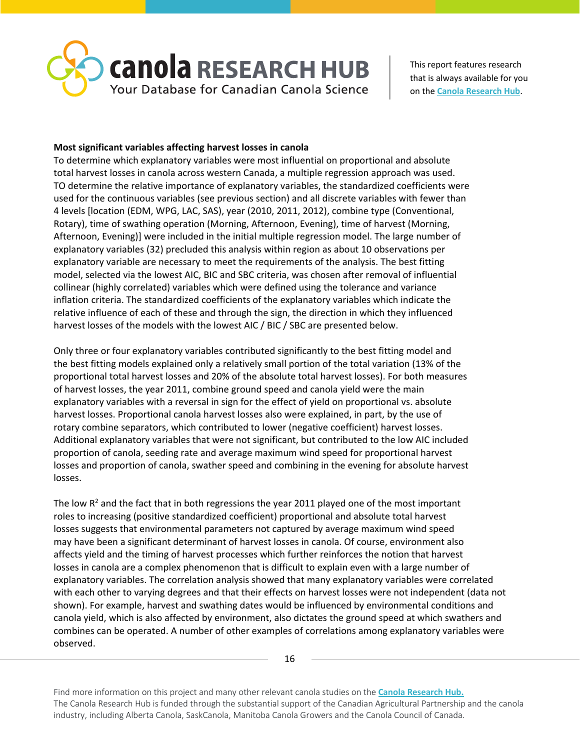

### **Most significant variables affecting harvest losses in canola**

To determine which explanatory variables were most influential on proportional and absolute total harvest losses in canola across western Canada, a multiple regression approach was used. TO determine the relative importance of explanatory variables, the standardized coefficients were used for the continuous variables (see previous section) and all discrete variables with fewer than 4 levels [location (EDM, WPG, LAC, SAS), year (2010, 2011, 2012), combine type (Conventional, Rotary), time of swathing operation (Morning, Afternoon, Evening), time of harvest (Morning, Afternoon, Evening)] were included in the initial multiple regression model. The large number of explanatory variables (32) precluded this analysis within region as about 10 observations per explanatory variable are necessary to meet the requirements of the analysis. The best fitting model, selected via the lowest AIC, BIC and SBC criteria, was chosen after removal of influential collinear (highly correlated) variables which were defined using the tolerance and variance inflation criteria. The standardized coefficients of the explanatory variables which indicate the relative influence of each of these and through the sign, the direction in which they influenced harvest losses of the models with the lowest AIC / BIC / SBC are presented below.

Only three or four explanatory variables contributed significantly to the best fitting model and the best fitting models explained only a relatively small portion of the total variation (13% of the proportional total harvest losses and 20% of the absolute total harvest losses). For both measures of harvest losses, the year 2011, combine ground speed and canola yield were the main explanatory variables with a reversal in sign for the effect of yield on proportional vs. absolute harvest losses. Proportional canola harvest losses also were explained, in part, by the use of rotary combine separators, which contributed to lower (negative coefficient) harvest losses. Additional explanatory variables that were not significant, but contributed to the low AIC included proportion of canola, seeding rate and average maximum wind speed for proportional harvest losses and proportion of canola, swather speed and combining in the evening for absolute harvest losses.

The low  $R^2$  and the fact that in both regressions the year 2011 played one of the most important roles to increasing (positive standardized coefficient) proportional and absolute total harvest losses suggests that environmental parameters not captured by average maximum wind speed may have been a significant determinant of harvest losses in canola. Of course, environment also affects yield and the timing of harvest processes which further reinforces the notion that harvest losses in canola are a complex phenomenon that is difficult to explain even with a large number of explanatory variables. The correlation analysis showed that many explanatory variables were correlated with each other to varying degrees and that their effects on harvest losses were not independent (data not shown). For example, harvest and swathing dates would be influenced by environmental conditions and canola yield, which is also affected by environment, also dictates the ground speed at which swathers and combines can be operated. A number of other examples of correlations among explanatory variables were observed.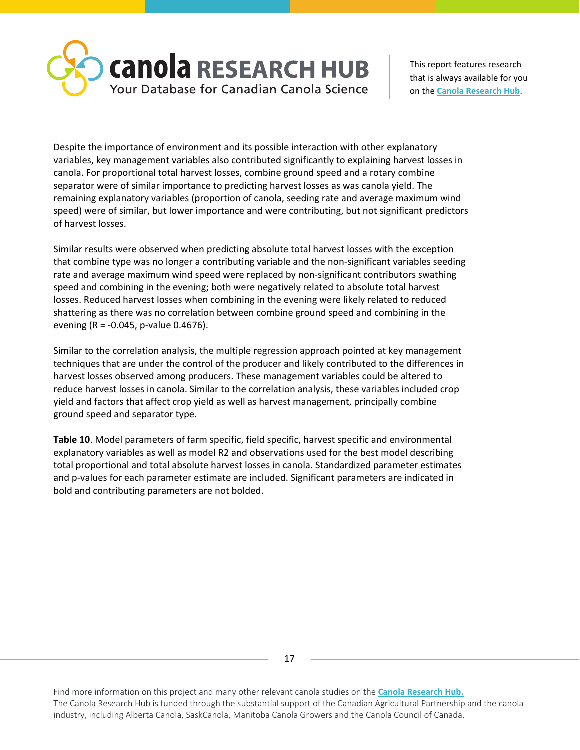

Despite the importance of environment and its possible interaction with other explanatory variables, key management variables also contributed significantly to explaining harvest losses in canola. For proportional total harvest losses, combine ground speed and a rotary combine separator were of similar importance to predicting harvest losses as was canola yield. The remaining explanatory variables (proportion of canola, seeding rate and average maximum wind speed) were of similar, but lower importance and were contributing, but not significant predictors of harvest losses.

Similar results were observed when predicting absolute total harvest losses with the exception that combine type was no longer a contributing variable and the non-significant variables seeding rate and average maximum wind speed were replaced by non-significant contributors swathing speed and combining in the evening; both were negatively related to absolute total harvest losses. Reduced harvest losses when combining in the evening were likely related to reduced shattering as there was no correlation between combine ground speed and combining in the evening (R = -0.045, p-value 0.4676).

Similar to the correlation analysis, the multiple regression approach pointed at key management techniques that are under the control of the producer and likely contributed to the differences in harvest losses observed among producers. These management variables could be altered to reduce harvest losses in canola. Similar to the correlation analysis, these variables included crop yield and factors that affect crop yield as well as harvest management, principally combine ground speed and separator type.

**Table 10**. Model parameters of farm specific, field specific, harvest specific and environmental explanatory variables as well as model R2 and observations used for the best model describing total proportional and total absolute harvest losses in canola. Standardized parameter estimates and p-values for each parameter estimate are included. Significant parameters are indicated in bold and contributing parameters are not bolded.

17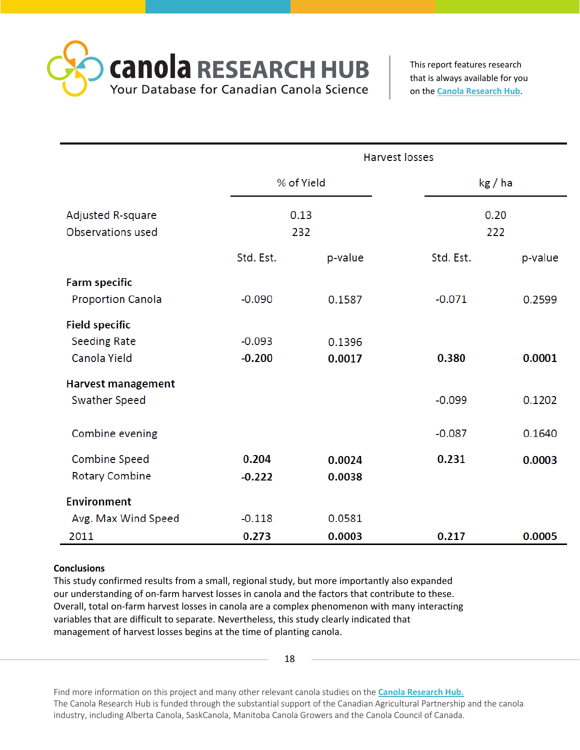**CANO A RESEARCH HUB** Your Database for Canadian Canola Science

This report features research that is always available for you on the **[Canola Research Hub](https://canolacouncil.org/research-hub)**.

|                           | <b>Harvest losses</b> |            |           |         |  |  |  |  |
|---------------------------|-----------------------|------------|-----------|---------|--|--|--|--|
|                           |                       | % of Yield | kg / ha   |         |  |  |  |  |
| Adjusted R-square         |                       | 0.13       | 0.20      |         |  |  |  |  |
| Observations used         |                       | 232        | 222       |         |  |  |  |  |
|                           | Std. Est.             | p-value    | Std. Est. | p-value |  |  |  |  |
| <b>Farm specific</b>      |                       |            |           |         |  |  |  |  |
| <b>Proportion Canola</b>  | $-0.090$              | 0.1587     | $-0.071$  | 0.2599  |  |  |  |  |
| <b>Field specific</b>     |                       |            |           |         |  |  |  |  |
| <b>Seeding Rate</b>       | $-0.093$              | 0.1396     |           |         |  |  |  |  |
| Canola Yield              | $-0.200$              | 0.0017     | 0.380     | 0.0001  |  |  |  |  |
| <b>Harvest management</b> |                       |            |           |         |  |  |  |  |
| Swather Speed             |                       |            | $-0.099$  | 0.1202  |  |  |  |  |
|                           |                       |            |           |         |  |  |  |  |
| Combine evening           |                       |            | $-0.087$  | 0.1640  |  |  |  |  |
| <b>Combine Speed</b>      | 0.204                 | 0.0024     | 0.231     | 0.0003  |  |  |  |  |
| <b>Rotary Combine</b>     | $-0.222$              | 0.0038     |           |         |  |  |  |  |
| <b>Environment</b>        |                       |            |           |         |  |  |  |  |
| Avg. Max Wind Speed       | $-0.118$              | 0.0581     |           |         |  |  |  |  |
| 2011                      | 0.273                 | 0.0003     | 0.217     | 0.0005  |  |  |  |  |

# **Conclusions**

This study confirmed results from a small, regional study, but more importantly also expanded our understanding of on-farm harvest losses in canola and the factors that contribute to these. Overall, total on-farm harvest losses in canola are a complex phenomenon with many interacting variables that are difficult to separate. Nevertheless, this study clearly indicated that management of harvest losses begins at the time of planting canola.

18